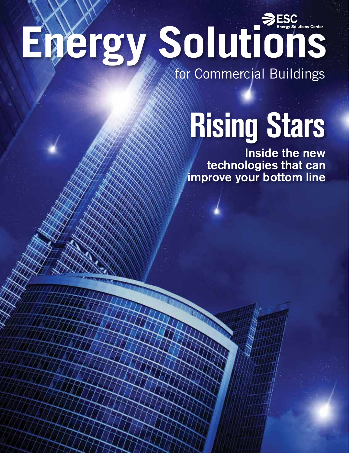### Energy Solutions Center for Commercial Buildings

## **Rising Stars**

Inside the new technologies that can improve your bottom line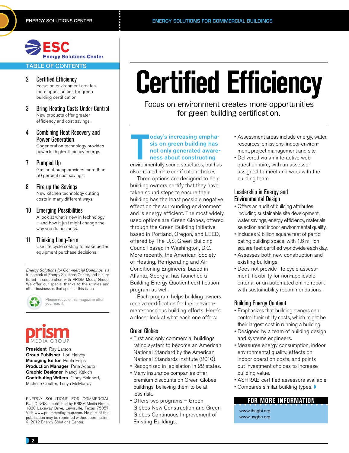### **Energy Solutions Center**

### TABLE OF CONTENTS

### 2 Certified Efficiency

Focus on environment creates more opportunities for green building certification.

- 3 Bring Heating Costs Under Control New products offer greater efficiency and cost savings.
- 4 Combining Heat Recovery and Power Generation Cogeneration technology provides

powerful high-efficiency energy.

### 7 Pumped Up

Gas heat pump provides more than 50 percent cost savings.

### 8 Fire up the Savings

New kitchen technology cutting costs in many different ways.

### 10 Emerging Possibilities

A look at what's new in technology – and how it just might change the way you do business.

### 11 Thinking Long-Term

Use life cycle costing to make better equipment purchase decisions.

*Energy Solutions for Commercial Buildings* is a trademark of Energy Solutions Center, and is published in cooperation with PRISM Media Group. We offer our special thanks to the utilities and other businesses that sponsor this issue.



Please recycle this magazine after you read it.

President Ray Larson Group Publisher Lori Harvey Managing Editor Paula Felps Production Manager Pete Adauto Graphic Designer Nancy Kekich Contributing Writers Cindy Baldhoff, Michelle Coulter, Tonya McMurray

ENERGY SOLUTIONS FOR COMMERCIAL BUILDINGS is published by PRISM Media Group, 1830 Lakeway Drive, Lewisville, Texas 75057. Visit www.prismmediagroup.com. No part of this publication may be reprinted without permission. © 2012 Energy Solutions Center.

### **Certified Efficiency**

Focus on environment creates more opportunities for green building certification.

### oday's increasing emphasis on green building has<br>not only generated awareness about constructing<br>environmentally sound structures, but has oday's increasing emphasis on green building has not only generated awareness about constructing

also created more certification choices.

Three options are designed to help building owners certify that they have taken sound steps to ensure their building has the least possible negative effect on the surrounding environment and is energy efficient. The most widely used options are Green Globes, offered through the Green Building Initiative based in Portland, Oregon, and LEED, offered by The U.S. Green Building Council based in Washington, D.C. More recently, the American Society of Heating, Refrigerating and Air Conditioning Engineers, based in Atlanta, Georgia, has launched a Building Energy Quotient certification program as well.

Each program helps building owners receive certification for their environment-conscious building efforts. Here's a closer look at what each one offers:

### Green Globes

- First and only commercial buildings rating system to become an American National Standard by the American National Standards Institute (2010).
- Recognized in legislation in 22 states.
- Many insurance companies offer premium discounts on Green Globes buildings, believing them to be at less risk.
- Offers two programs Green Globes New Construction and Green Globes Continuous Improvement of Existing Buildings.
- Assessment areas include energy, water, resources, emissions, indoor environment, project management and site.
- Delivered via an interactive web questionnaire, with an assessor assigned to meet and work with the building team.

### Leadership in Energy and Environmental Design

- Offers an audit of building attributes including sustainable site development, water savings, energy efficiency, materials selection and indoor environmental quality.
- Includes 9 billion square feet of participating building space, with 1.6 million square feet certified worldwide each day.
- Assesses both new construction and existing buildings.
- Does not provide life cycle assessment, flexibility for non-applicable criteria, or an automated online report with sustainability recommendations.

### Building Energy Quotient

- Emphasizes that building owners can control their utility costs, which might be their largest cost in running a building.
- Designed by a team of building design and systems engineers.
- Measures energy consumption, indoor environmental quality, effects on indoor operation costs, and points out investment choices to increase building value.
- ASHRAE-certified assessors available.
- Compares similar building types.  $\blacktriangleright$

### **FOR MORE INFORMATION**

www.thegbi.org www.usgbc.org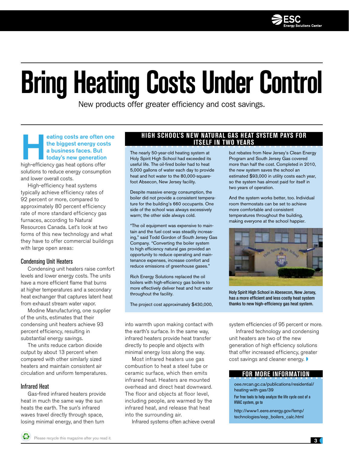

### **Bring Heating Costs Under Control**

New products offer greater efficiency and cost savings.

eating costs are often one<br>the biggest energy costs<br>a business faces. But<br>today's new generation<br>high-efficiency gas heat options offer the biggest energy costs a business faces. But today's new generation

solutions to reduce energy consumption and lower overall costs.

High-efficiency heat systems typically achieve efficiency rates of 92 percent or more, compared to approximately 80 percent efficiency rate of more standard efficiency gas furnaces, according to Natural Resources Canada. Let's look at two forms of this new technology and what they have to offer commercial buildings with large open areas:

### Condensing Unit Heaters

Condensing unit heaters raise comfort levels and lower energy costs. The units have a more efficient flame that burns at higher temperatures and a secondary heat exchanger that captures latent heat from exhaust stream water vapor.

Modine Manufacturing, one supplier of the units, estimates that their condensing unit heaters achieve 93 percent efficiency, resulting in substantial energy savings.

The units reduce carbon dioxide output by about 13 percent when compared with other similarly sized heaters and maintain consistent air circulation and uniform temperatures.

### Infrared Heat

Gas-fired infrared heaters provide heat in much the same way the sun heats the earth. The sun's infrared waves travel directly through space, losing minimal energy, and then turn

### **High school's new natural gas heat system pays for itself in two years**

The nearly 50-year-old heating system at Holy Spirit High School had exceeded its useful life. The oil-fired boiler had to heat 5,000 gallons of water each day to provide heat and hot water to the 80,000-squarefoot Absecon, New Jersey facility.

Despite massive energy consumption, the boiler did not provide a consistent temperature for the building's 660 occupants. One side of the school was always excessively warm; the other side always cold.

"The oil equipment was expensive to maintain and the fuel cost was steadily increasing," said Todd Gordon of South Jersey Gas Company. "Converting the boiler system to high efficiency natural gas provided an opportunity to reduce operating and maintenance expenses, increase comfort and reduce emissions of greenhouse gases."

Rich Energy Solutions replaced the oil boilers with high-efficiency gas boilers to more effectively deliver heat and hot water throughout the facility.

The project cost approximately \$430,000,

into warmth upon making contact with the earth's surface. In the same way, infrared heaters provide heat transfer directly to people and objects with minimal energy loss along the way.

Most infrared heaters use gas combustion to heat a steel tube or ceramic surface, which then emits infrared heat. Heaters are mounted overhead and direct heat downward. The floor and objects at floor level, including people, are warmed by the infrared heat, and release that heat into the surrounding air.

Infrared systems often achieve overall

but rebates from New Jersey's Clean Energy Program and South Jersey Gas covered more than half the cost. Completed in 2010, the new system saves the school an estimated \$93,000 in utility costs each year, so the system has almost paid for itself in two years of operation.

And the system works better, too. Individual room thermostats can be set to achieve more comfortable and consistent temperatures throughout the building, making everyone at the school happier.



Holy Spirit High School in Abesecon, New Jersey, has a more efficient and less costly heat system thanks to new high-efficiency gas heat system.

system efficiencies of 95 percent or more.

Infrared technology and condensing unit heaters are two of the new generation of high efficiency solutions that offer increased efficiency, greater cost savings and cleaner energy.

### **FOR MORE INFORMATION**

oee.nrcan.gc.ca/publications/residential/ heating-with-gas/39 For free tools to help analyze the life cycle cost of a HVAC system, go to

http://www1.eere.energy.gov/femp/ technologies/eep\_boilers\_calc.html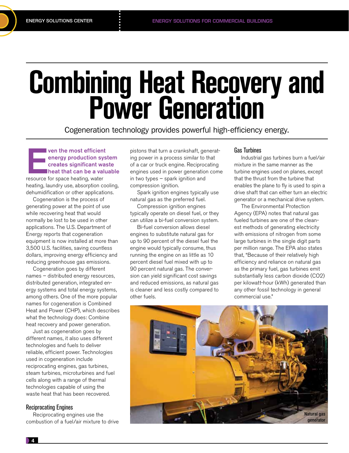# **Combining Heat Recovery and Power Generation**

Cogeneration technology provides powerful high-efficiency energy.

ven the most efficient<br>
energy production sys<br>
creates significant was<br>
heat that can be a valu<br>
resource for space heating, water energy production system creates significant waste heat that can be a valuable

heating, laundry use, absorption cooling, dehumidification or other applications.

Cogeneration is the process of generating power at the point of use while recovering heat that would normally be lost to be used in other applications. The U.S. Department of Energy reports that cogeneration equipment is now installed at more than 3,500 U.S. facilities, saving countless dollars, improving energy efficiency and reducing greenhouse gas emissions.

Cogeneration goes by different names – distributed energy resources, distributed generation, integrated energy systems and total energy systems, among others. One of the more popular names for cogeneration is Combined Heat and Power (CHP), which describes what the technology does: Combine heat recovery and power generation.

Just as cogeneration goes by different names, it also uses different technologies and fuels to deliver reliable, efficient power. Technologies used in cogeneration include reciprocating engines, gas turbines, steam turbines, microturbines and fuel cells along with a range of thermal technologies capable of using the waste heat that has been recovered.

### Reciprocating Engines

Reciprocating engines use the combustion of a fuel/air mixture to drive

pistons that turn a crankshaft, generating power in a process similar to that of a car or truck engine. Reciprocating engines used in power generation come in two types – spark ignition and compression ignition.

Spark ignition engines typically use natural gas as the preferred fuel.

Compression ignition engines typically operate on diesel fuel, or they can utilize a bi-fuel conversion system.

Bi-fuel conversion allows diesel engines to substitute natural gas for up to 90 percent of the diesel fuel the engine would typically consume, thus running the engine on as little as 10 percent diesel fuel mixed with up to 90 percent natural gas. The conversion can yield significant cost savings and reduced emissions, as natural gas is cleaner and less costly compared to other fuels.

### Gas Turbines

Industrial gas turbines burn a fuel/air mixture in the same manner as the turbine engines used on planes, except that the thrust from the turbine that enables the plane to fly is used to spin a drive shaft that can either turn an electric generator or a mechanical drive system.

The Environmental Protection Agency (EPA) notes that natural gas fueled turbines are one of the cleanest methods of generating electricity with emissions of nitrogen from some large turbines in the single digit parts per million range. The EPA also states that, "Because of their relatively high efficiency and reliance on natural gas as the primary fuel, gas turbines emit substantially less carbon dioxide (CO2) per kilowatt-hour (kWh) generated than any other fossil technology in general commercial use."

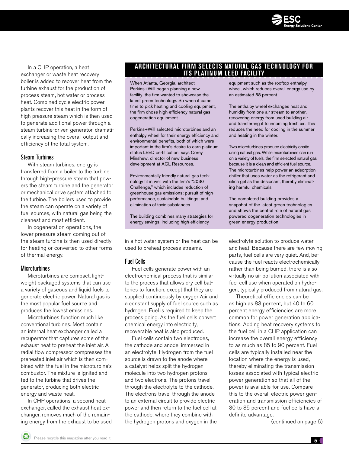

In a CHP operation, a heat exchanger or waste heat recovery boiler is added to recover heat from the turbine exhaust for the production of process steam, hot water or process heat. Combined cycle electric power plants recover this heat in the form of high pressure steam which is then used to generate additional power through a steam turbine-driven generator, dramatically increasing the overall output and efficiency of the total system.

### Steam Turbines

With steam turbines, energy is transferred from a boiler to the turbine through high-pressure steam that powers the steam turbine and the generator or mechanical drive system attached to the turbine. The boilers used to provide the steam can operate on a variety of fuel sources, with natural gas being the cleanest and most efficient.

In cogeneration operations, the lower pressure steam coming out of the steam turbine is then used directly for heating or converted to other forms of thermal energy.

### **Microturbines**

Microturbines are compact, lightweight packaged systems that can use a variety of gaseous and liquid fuels to generate electric power. Natural gas is the most popular fuel source and produces the lowest emissions.

Microturbines function much like conventional turbines. Most contain an internal heat exchanger called a recuperator that captures some of the exhaust heat to preheat the inlet air. A radial flow compressor compresses the preheated inlet air which is then combined with the fuel in the microturbine's combustor. The mixture is ignited and fed to the turbine that drives the generator, producing both electric energy and waste heat.

In CHP operations, a second heat exchanger, called the exhaust heat exchanger, removes much of the remaining energy from the exhaust to be used

### **Architectural firm selects natural gas technology for its platinum LEED Facility**

When Atlanta, Georgia, architect Perkins+Will began planning a new facility, the firm wanted to showcase the latest green technology. So when it came time to pick heating and cooling equipment, the firm chose high-efficiency natural gas cogeneration equipment.

Perkins+Will selected microturbines and an enthalpy wheel for their energy efficiency and environmental benefits, both of which were important in the firm's desire to earn platinum status LEED certification, says Corey Minshew, director of new business development at AGL Resources.

Environmentally friendly natural gas technology fit in well with the firm's "2030 Challenge," which includes reduction of greenhouse gas emissions; pursuit of highperformance, sustainable buildings; and elimination of toxic substances.

The building combines many strategies for energy savings, including high-efficiency

in a hot water system or the heat can be used to preheat process streams.

### Fuel Cells

Fuel cells generate power with an electrochemical process that is similar to the process that allows dry cell batteries to function, except that they are supplied continuously by oxygen/air and a constant supply of fuel source such as hydrogen. Fuel is required to keep the process going. As the fuel cells convert chemical energy into electricity, recoverable heat is also produced.

Fuel cells contain two electrodes, the cathode and anode, immersed in an electrolyte. Hydrogen from the fuel source is drawn to the anode where a catalyst helps split the hydrogen molecule into two hydrogen protons and two electrons. The protons travel through the electrolyte to the cathode. The electrons travel through the anode to an external circuit to provide electric power and then return to the fuel cell at the cathode, where they combine with the hydrogen protons and oxygen in the equipment such as the rooftop enthalpy wheel, which reduces overall energy use by an estimated 58 percent.

The enthalpy wheel exchanges heat and humidity from one air stream to another, recovering energy from used building air and transferring it to incoming fresh air. This reduces the need for cooling in the summer and heating in the winter.

Two microturbines produce electricity onsite using natural gas. While microturbines can run on a variety of fuels, the firm selected natural gas because it is a clean and efficient fuel source. The microturbines help power an adsorption chiller that uses water as the refrigerant and silica gel as the desiccant, thereby eliminating harmful chemicals.

The completed building provides a snapshot of the latest green technologies and shows the central role of natural gas powered cogeneration technologies in green energy production.

electrolyte solution to produce water and heat. Because there are few moving parts, fuel cells are very quiet. And, because the fuel reacts electrochemically rather than being burned, there is also virtually no air pollution associated with fuel cell use when operated on hydrogen, typically produced from natural gas.

Theoretical efficiencies can be as high as 83 percent, but 40 to 60 percent energy efficiencies are more common for power generation applications. Adding heat recovery systems to the fuel cell in a CHP application can increase the overall energy efficiency to as much as 85 to 90 percent. Fuel cells are typically installed near the location where the energy is used, thereby eliminating the transmission losses associated with typical electric power generation so that all of the power is available for use. Compare this to the overall electric power generation and transmission efficiencies of 30 to 35 percent and fuel cells have a definite advantage.

(continued on page 6)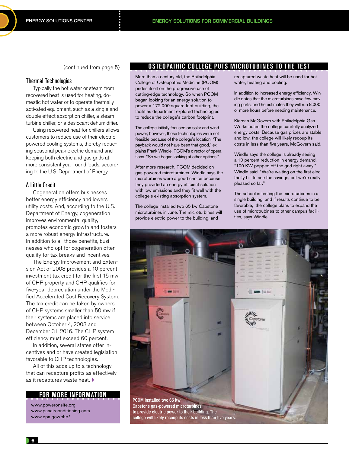(continued from page 5)

### Thermal Technologies

Typically the hot water or steam from recovered heat is used for heating, domestic hot water or to operate thermally activated equipment, such as a single and double effect absorption chiller, a steam turbine chiller, or a desiccant dehumidifier.

Using recovered heat for chillers allows customers to reduce use of their electric powered cooling systems, thereby reducing seasonal peak electric demand and keeping both electric and gas grids at more consistent year round loads, according to the U.S. Department of Energy.

### A Little Credit

Cogeneration offers businesses better energy efficiency and lowers utility costs. And, according to the U.S. Department of Energy, cogeneration improves environmental quality, promotes economic growth and fosters a more robust energy infrastructure. In addition to all those benefits, businesses who opt for cogeneration often qualify for tax breaks and incentives.

The Energy Improvement and Extension Act of 2008 provides a 10 percent investment tax credit for the first 15 mw of CHP property and CHP qualifies for five-year depreciation under the Modified Accelerated Cost Recovery System. The tax credit can be taken by owners of CHP systems smaller than 50 mw if their systems are placed into service between October 4, 2008 and December 31, 2016. The CHP system efficiency must exceed 60 percent.

In addition, several states offer incentives and or have created legislation favorable to CHP technologies.

All of this adds up to a technology that can recapture profits as effectively as it recaptures waste heat.  $\blacktriangleright$ 

### **FOR MORE INFORMATION**

www.poweronsite.org www.gasairconditioning.com www.epa.gov/chp/

### **Osteopathic College Puts Microtubines To The Test**

More than a century old, the Philadelphia College of Osteopathic Medicine (PCOM) prides itself on the progressive use of cutting-edge technology. So when PCOM began looking for an energy solution to power a 172,000-square-foot building, the facilities department explored technologies to reduce the college's carbon footprint.

The college initially focused on solar and wind power; however, those technologies were not feasible because of the college's location. "The payback would not have been that good," explains Frank Windle, PCOM's director of operations. "So we began looking at other options."

After more research, PCOM decided on gas-powered microturbines. Windle says the microturbines were a good choice because they provided an energy efficient solution with low emissions and they fit well with the college's existing absorption system.

The college installed two 65 kw Capstone microturbines in June. The microturbines will provide electric power to the building, and

recaptured waste heat will be used for hot water, heating and cooling.

In addition to increased energy efficiency, Windle notes that the microturbines have few moving parts, and he estimates they will run 8,000 or more hours before needing maintenance.

Kiernan McGovern with Philadelphia Gas Works notes the college carefully analyzed energy costs. Because gas prices are stable and low, the college will likely recoup its costs in less than five years, McGovern said.

Windle says the college is already seeing a 10 percent reduction in energy demand. "100 KW popped off the grid right away," Windle said. "We're waiting on the first electricity bill to see the savings, but we're really pleased so far."

The school is testing the microturbines in a single building, and if results continue to be favorable, the college plans to expand the use of microtrubines to other campus facilities, says Windle.

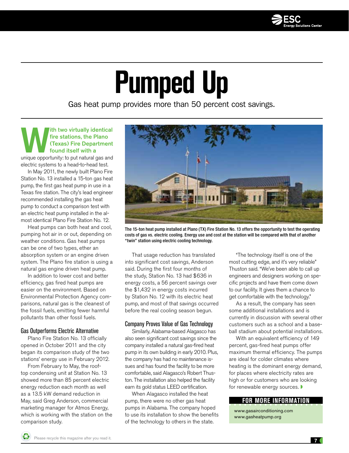

### **Pumped Up**

Gas heat pump provides more than 50 percent cost savings.

### **IST WE ATTE STATE IN THE VERGEND OF THE VERGEND OF THE VERGEND OF THE VERGEND OF THE VERGEND OF THE VERGEND OF THE VERGEND OF THE VERGEND OF THE VERGEND OF THE VERGEND OF THE VERGEND OF THE VERGEND OF THE VERGEND OF THE V** fire stations, the Plano (Texas) Fire Department found itself with a

electric systems to a head-to-head test.

In May 2011, the newly built Plano Fire Station No. 13 installed a 15-ton gas heat pump, the first gas heat pump in use in a Texas fire station. The city's lead engineer recommended installing the gas heat pump to conduct a comparison test with an electric heat pump installed in the almost identical Plano Fire Station No. 12.

Heat pumps can both heat and cool, pumping hot air in or out, depending on weather conditions. Gas heat pumps can be one of two types, ether an absorption system or an engine driven system. The Plano fire station is using a natural gas engine driven heat pump.

In addition to lower cost and better efficiency, gas fired heat pumps are easier on the environment. Based on Environmental Protection Agency comparisons, natural gas is the cleanest of the fossil fuels, emitting fewer harmful pollutants than other fossil fuels.

### Gas Outperforms Electric Alternative

Plano Fire Station No. 13 officially opened in October 2011 and the city began its comparison study of the two stations' energy use in February 2012.

From February to May, the rooftop condensing unit at Station No. 13 showed more than 85 percent electric energy reduction each month as well as a 13.5 kW demand reduction in May, said Greg Anderson, commercial marketing manager for Atmos Energy, which is working with the station on the comparison study.



The 15-ton heat pump installed at Plano (TX) Fire Station No. 13 offers the opportunity to test the operating costs of gas vs. electric cooling. Energy use and cost at the station will be compared with that of another "twin" station using electric cooling technology.

That usage reduction has translated into significant cost savings, Anderson said. During the first four months of the study, Station No. 13 had \$636 in energy costs, a 56 percent savings over the \$1,432 in energy costs incurred by Station No. 12 with its electric heat pump, and most of that savings occurred before the real cooling season begun.

### Company Proves Value of Gas Technology

Similarly, Alabama-based Alagasco has also seen significant cost savings since the company installed a natural gas-fired heat pump in its own building in early 2010. Plus, the company has had no maintenance issues and has found the facility to be more comfortable, said Alagasco's Robert Thuston. The installation also helped the facility earn its gold status LEED certification.

When Alagasco installed the heat pump, there were no other gas heat pumps in Alabama. The company hoped to use its installation to show the benefits of the technology to others in the state.

"The technology itself is one of the most cutting edge, and it's very reliable" Thuston said. "We've been able to call up engineers and designers working on specific projects and have them come down to our facility. It gives them a chance to get comfortable with the technology."

As a result, the company has seen some additional installations and is currently in discussion with several other customers such as a school and a baseball stadium about potential installations.

With an equivalent efficiency of 149 percent, gas-fired heat pumps offer maximum thermal efficiency. The pumps are ideal for colder climates where heating is the dominant energy demand, for places where electricity rates are high or for customers who are looking for renewable energy sources.

### **FOR MORE INFORMATION**

www.gasairconditioning.com www.gasheatpump.org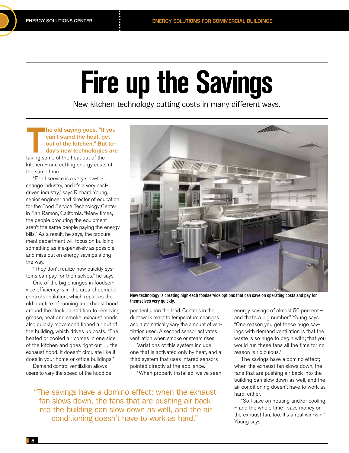### **Fire up the Savings**

New kitchen technology cutting costs in many different ways.

### The old saying goes, "If<br>can't stand the heat, go<br>out of the kitchen." But<br>day's new technologies<br>taking some of the heat out of the he old saying goes, "If you can't stand the heat, get out of the kitchen." But today's new technologies are

kitchen – and cutting energy costs at the same time.

"Food service is a very slow-tochange industry, and it's a very costdriven industry," says Richard Young, senior engineer and director of education for the Food Service Technology Center in San Ramon, California. "Many times, the people procuring the equipment aren't the same people paying the energy bills." As a result, he says, the procurement department will focus on building something as inexpensively as possible, and miss out on energy savings along the way.

"They don't realize how quickly systems can pay for themselves," he says.

One of the big changes in foodservice efficiency is in the area of demand control ventilation, which replaces the old practice of running an exhaust hood around the clock. In addition to removing grease, heat and smoke, exhaust hoods also quickly move conditioned air out of the building, which drives up costs. "The heated or cooled air comes in one side of the kitchen and goes right out … the exhaust hood. It doesn't circulate like it does in your home or office buildings."

Demand control ventilation allows users to vary the speed of the hood de-



New technology is creating high-tech foodservice options that can save on operating costs and pay for themselves very quickly.

pendent upon the load. Controls in the duct work react to temperature changes and automatically vary the amount of ventilation used. A second sensor activates ventilation when smoke or steam rises.

Variations of this system include one that is activated only by heat, and a third system that uses infared sensors pointed directly at the appliance.

"When properly installed, we've seen

"The savings have a domino effect; when the exhaust fan slows down, the fans that are pushing air back into the building can slow down as well, and the air conditioning doesn't have to work as hard."

energy savings of almost 50 percent – and that's a big number," Young says. "One reason you get these huge savings with demand ventilation is that the waste is so huge to begin with; that you would run these fans all the time for no reason is ridiculous."

The savings have a domino effect; when the exhaust fan slows down, the fans that are pushing air back into the building can slow down as well, and the air conditioning doesn't have to work as hard, either.

"So I save on heating and/or cooling – and the whole time I save money on the exhaust fan, too. It's a real win-win," Young says.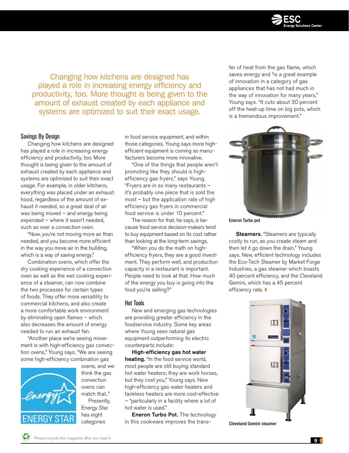

Changing how kitchens are designed has played a role in increasing energy efficiency and productivity, too. More thought is being given to the amount of exhaust created by each appliance and systems are optimized to suit their exact usage.

### Savings By Design

Changing how kitchens are designed has played a role in increasing energy efficiency and productivity, too. More thought is being given to the amount of exhaust created by each appliance and systems are optimized to suit their exact usage. For example, in older kitchens, everything was placed under an exhaust hood, regardless of the amount of exhaust it needed, so a great deal of air was being moved – and energy being expended – where it wasn't needed, such as over a convection oven.

"Now, you're not moving more air than needed, and you become more efficient in the way you move air in the building, which is a way of saving energy."

Combination ovens, which offer the dry cooking experience of a convection oven as well as the wet cooking experience of a steamer, can now combine the two processes for certain types of foods. They offer more versatility to commercial kitchens, and also create a more comfortable work environment by eliminating open flames – which also decreases the amount of energy needed to run an exhaust fan.

"Another place we're seeing movement is with high-efficiency gas convection ovens," Young says. "We are seeing some high-efficiency combination gas



ovens, and we think the gas convection ovens can match that.." Presently, Energy Star has eight categories

in food service equipment, and within those categories, Young says more highefficient equipment is coming as manufacturers become more innovative.

"One of the things that people aren't promoting like they should is highefficiency gas fryers," says Young. "Fryers are in so many restaurants – it's probably one piece that is sold the most – but the application rate of high efficiency gas fryers in commercial food service is under 10 percent."

The reason for that, he says, is because food service decision-makers tend to buy equipment based on its cost rather than looking at the long-term savings.

"When you do the math on highefficiency fryers, they are a good investment. They perform well, and production capacity in a restaurant is important. People need to look at that. How much of the energy you buy is going into the food you're selling?"

### Hot Tools

New and emerging gas technologies are providing greater efficiency in the foodservice industry. Some key areas where Young sees natural gas equipment outperforming its electric counterparts include:

High-efficiency gas hot water heating. "In the food service world, most people are still buying standard hot water heaters; they are work horses, but they cost you," Young says. New high-efficiency gas water heaters and tankless heaters are more cost-effective – "particularly in a facility where a lot of hot water is used."

Eneron Turbo Pot. The technology in this cookware improves the trans-

fer of heat from the gas flame, which saves energy and "is a great example of innovation in a category of gas appliances that has not had much in the way of innovation for many years," Young says. "It cuts about 30 percent off the heat-up time on big pots, which is a tremendous improvement."



Eneron Turbo pot

**Steamers.** "Steamers are typically costly to run, as you create steam and then let it go down the drain," Young says. New, efficient technology includes the Eco-Tech Steamer by Market Forge Industries, a gas steamer which boasts 40 percent efficiency, and the Cleveland Gemini, which has a 45 percent efficiency rate.



Cleveland Gemini steamer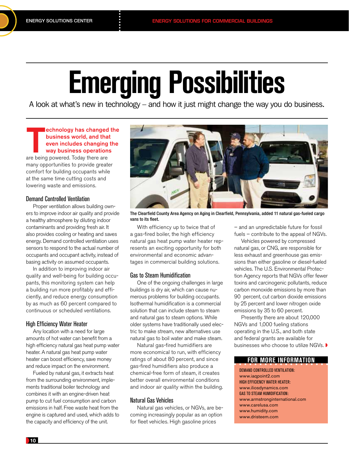### **Emerging Possibilities**

A look at what's new in technology – and how it just might change the way you do business.

### echnology has changed<br>business world, and tha<br>even includes changing<br>way business operation:<br>are being powered. Today there are echnology has changed the business world, and that even includes changing the way business operations

many opportunities to provide greater comfort for building occupants while at the same time cutting costs and lowering waste and emissions.

### Demand Controlled Ventilation

Proper ventilation allows building owners to improve indoor air quality and provide a healthy atmosphere by diluting indoor contaminants and providing fresh air. It also provides cooling or heating and saves energy. Demand controlled ventilation uses sensors to respond to the actual number of occupants and occupant activity, instead of basing activity on assumed occupants.

In addition to improving indoor air quality and well-being for building occupants, this monitoring system can help a building run more profitably and efficiently, and reduce energy consumption by as much as 60 percent compared to continuous or scheduled ventilations.

### High Efficiency Water Heater

Any location with a need for large amounts of hot water can benefit from a high efficiency natural gas heat pump water heater. A natural gas heat pump water heater can boost efficiency, save money and reduce impact on the environment.

Fueled by natural gas, it extracts heat from the surrounding environment, implements traditional boiler technology and combines it with an engine-driven heat pump to cut fuel consumption and carbon emissions in half. Free waste heat from the engine is captured and used, which adds to the capacity and efficiency of the unit.



The Clearfield County Area Agency on Aging in Clearfield, Pennsylvania, added 11 natural gas-fueled cargo vans to its fleet.

With efficiency up to twice that of a gas-fired boiler, the high efficiency natural gas heat pump water heater represents an exciting opportunity for both environmental and economic advantages in commercial building solutions.

### Gas to Steam Humidification

One of the ongoing challenges in large buildings is dry air, which can cause numerous problems for building occupants. Isothermal humidification is a commercial solution that can include steam to steam and natural gas to steam options. While older systems have traditionally used electric to make stream, new alternatives use natural gas to boil water and make steam.

Natural gas-fired humidifiers are more economical to run, with efficiency ratings of about 80 percent, and since gas-fired humidifiers also produce a chemical-free form of steam, it creates better overall environmental conditions and indoor air quality within the building.

### Natural Gas Vehicles

Natural gas vehicles, or NGVs, are becoming increasingly popular as an option for fleet vehicles. High gasoline prices

– and an unpredictable future for fossil fuels – contribute to the appeal of NGVs.

Vehicles powered by compressed natural gas, or CNG, are responsible for less exhaust and greenhouse gas emissions than either gasoline or diesel-fueled vehicles. The U.S. Environmental Protection Agency reports that NGVs offer fewer toxins and carcinogenic pollutants, reduce carbon monoxide emissions by more than 90 percent, cut carbon dioxide emissions by 25 percent and lower nitrogen oxide emissions by 35 to 60 percent.

Presently there are about 120,000 NGVs and 1,000 fueling stations operating in the U.S., and both state and federal grants are available for businesses who choose to utilize NGVs.

### **FOR MORE INFORMATION**

Demand Controlled Ventilation: www.iaqpoint2.com High Efficiency Water Heater: www.iliosdynamics.com Gas to Steam Humidification: www.armstronginternational.com www.carelusa.com www.humidity.com www.dristeem.com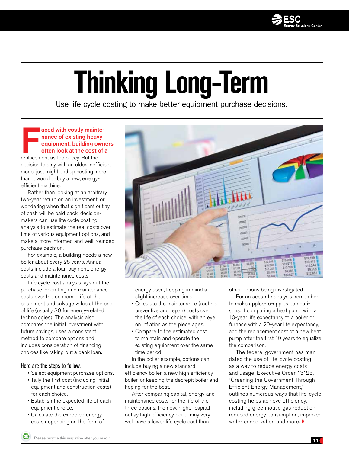

### **Thinking Long-Term**

Use life cycle costing to make better equipment purchase decisions.

### aced with costly maint<br>nance of existing heav<br>equipment, building ov<br>often look at the cost or<br>replacement as too pricey. But the aced with costly maintenance of existing heavy equipment, building owners often look at the cost of a

decision to stay with an older, inefficient model just might end up costing more than it would to buy a new, energyefficient machine.

Rather than looking at an arbitrary two-year return on an investment, or wondering when that significant outlay of cash will be paid back, decisionmakers can use life cycle costing analysis to estimate the real costs over time of various equipment options, and make a more informed and well-rounded purchase decision.

For example, a building needs a new boiler about every 25 years. Annual costs include a loan payment, energy costs and maintenance costs.

Life cycle cost analysis lays out the purchase, operating and maintenance costs over the economic life of the equipment and salvage value at the end of life (usually \$0 for energy-related technologies). The analysis also compares the initial investment with future savings, uses a consistent method to compare options and includes consideration of financing choices like taking out a bank loan.

### Here are the steps to follow:

- Select equipment purchase options.
- Tally the first cost (including initial equipment and construction costs) for each choice.
- Establish the expected life of each equipment choice.
- Calculate the expected energy costs depending on the form of



energy used, keeping in mind a slight increase over time.

- Calculate the maintenance (routine, preventive and repair) costs over the life of each choice, with an eye on inflation as the piece ages.
- Compare to the estimated cost to maintain and operate the existing equipment over the same time period.

In the boiler example, options can include buying a new standard efficiency boiler, a new high efficiency boiler, or keeping the decrepit boiler and hoping for the best.

After comparing capital, energy and maintenance costs for the life of the three options, the new, higher capital outlay high efficiency boiler may very well have a lower life cycle cost than

other options being investigated.

For an accurate analysis, remember to make apples-to-apples comparisons. If comparing a heat pump with a 10-year life expectancy to a boiler or furnace with a 20-year life expectancy, add the replacement cost of a new heat pump after the first 10 years to equalize the comparison.

The federal government has mandated the use of life-cycle costing as a way to reduce energy costs and usage. Executive Order 13123, "Greening the Government Through Efficient Energy Management," outlines numerous ways that life-cycle costing helps achieve efficiency, including greenhouse gas reduction, reduced energy consumption, improved water conservation and more.  $\blacktriangleright$